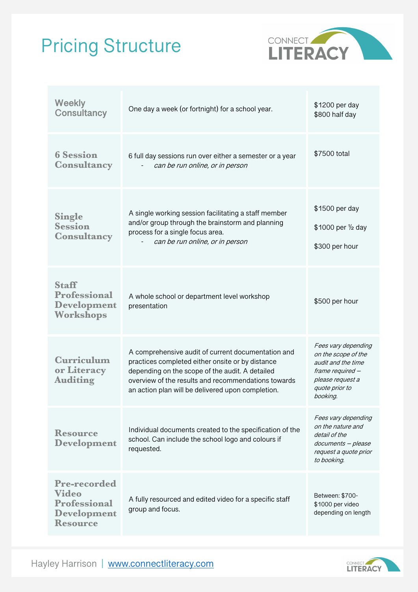## Pricing Structure



| <b>Weekly</b><br><b>Consultancy</b>                                                                 | One day a week (or fortnight) for a school year.                                                                                                                                                                                                                      | \$1200 per day<br>\$800 half day                                                                                                       |
|-----------------------------------------------------------------------------------------------------|-----------------------------------------------------------------------------------------------------------------------------------------------------------------------------------------------------------------------------------------------------------------------|----------------------------------------------------------------------------------------------------------------------------------------|
| <b>6 Session</b><br><b>Consultancy</b>                                                              | 6 full day sessions run over either a semester or a year<br>can be run online, or in person                                                                                                                                                                           | \$7500 total                                                                                                                           |
| <b>Single</b><br><b>Session</b><br><b>Consultancy</b>                                               | A single working session facilitating a staff member<br>and/or group through the brainstorm and planning<br>process for a single focus area.<br>can be run online, or in person                                                                                       | \$1500 per day<br>\$1000 per 1/2 day<br>\$300 per hour                                                                                 |
| <b>Staff</b><br><b>Professional</b><br><b>Development</b><br>Workshops                              | A whole school or department level workshop<br>presentation                                                                                                                                                                                                           | \$500 per hour                                                                                                                         |
| Curriculum<br>or Literacy<br><b>Auditing</b>                                                        | A comprehensive audit of current documentation and<br>practices completed either onsite or by distance<br>depending on the scope of the audit. A detailed<br>overview of the results and recommendations towards<br>an action plan will be delivered upon completion. | Fees vary depending<br>on the scope of the<br>audit and the time<br>frame required -<br>please request a<br>quote prior to<br>booking. |
| <b>Resource</b><br><b>Development</b>                                                               | Individual documents created to the specification of the<br>school. Can include the school logo and colours if<br>requested.                                                                                                                                          | Fees vary depending<br>on the nature and<br>detail of the<br>documents - please<br>request a quote prior<br>to booking.                |
| <b>Pre-recorded</b><br><b>Video</b><br><b>Professional</b><br><b>Development</b><br><b>Resource</b> | A fully resourced and edited video for a specific staff<br>group and focus.                                                                                                                                                                                           | Between: \$700-<br>\$1000 per video<br>depending on length                                                                             |